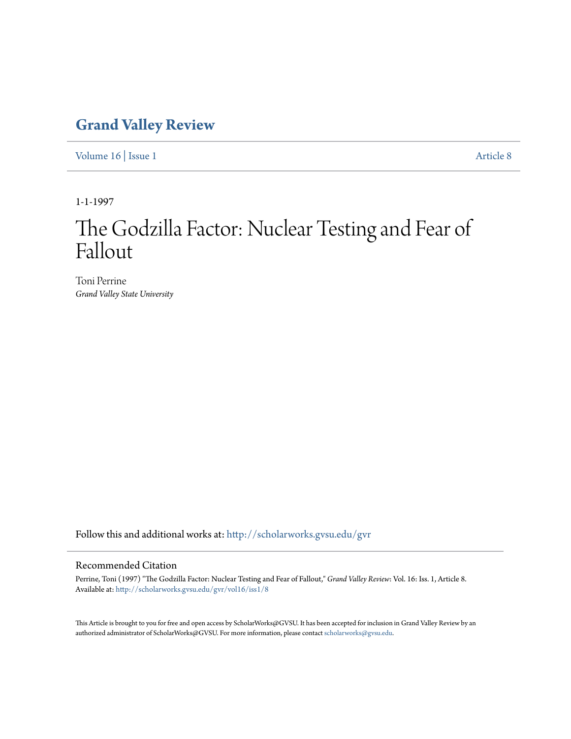# **[Grand Valley Review](http://scholarworks.gvsu.edu/gvr?utm_source=scholarworks.gvsu.edu%2Fgvr%2Fvol16%2Fiss1%2F8&utm_medium=PDF&utm_campaign=PDFCoverPages)**

[Volume 16](http://scholarworks.gvsu.edu/gvr/vol16?utm_source=scholarworks.gvsu.edu%2Fgvr%2Fvol16%2Fiss1%2F8&utm_medium=PDF&utm_campaign=PDFCoverPages) | [Issue 1](http://scholarworks.gvsu.edu/gvr/vol16/iss1?utm_source=scholarworks.gvsu.edu%2Fgvr%2Fvol16%2Fiss1%2F8&utm_medium=PDF&utm_campaign=PDFCoverPages) [Article 8](http://scholarworks.gvsu.edu/gvr/vol16/iss1/8?utm_source=scholarworks.gvsu.edu%2Fgvr%2Fvol16%2Fiss1%2F8&utm_medium=PDF&utm_campaign=PDFCoverPages)

1-1-1997

# The Godzilla Factor: Nuclear Testing and Fear of Fallout

Toni Perrine *Grand Valley State University*

Follow this and additional works at: [http://scholarworks.gvsu.edu/gvr](http://scholarworks.gvsu.edu/gvr?utm_source=scholarworks.gvsu.edu%2Fgvr%2Fvol16%2Fiss1%2F8&utm_medium=PDF&utm_campaign=PDFCoverPages)

### Recommended Citation

Perrine, Toni (1997) "The Godzilla Factor: Nuclear Testing and Fear of Fallout," *Grand Valley Review*: Vol. 16: Iss. 1, Article 8. Available at: [http://scholarworks.gvsu.edu/gvr/vol16/iss1/8](http://scholarworks.gvsu.edu/gvr/vol16/iss1/8?utm_source=scholarworks.gvsu.edu%2Fgvr%2Fvol16%2Fiss1%2F8&utm_medium=PDF&utm_campaign=PDFCoverPages)

This Article is brought to you for free and open access by ScholarWorks@GVSU. It has been accepted for inclusion in Grand Valley Review by an authorized administrator of ScholarWorks@GVSU. For more information, please contact [scholarworks@gvsu.edu.](mailto:scholarworks@gvsu.edu)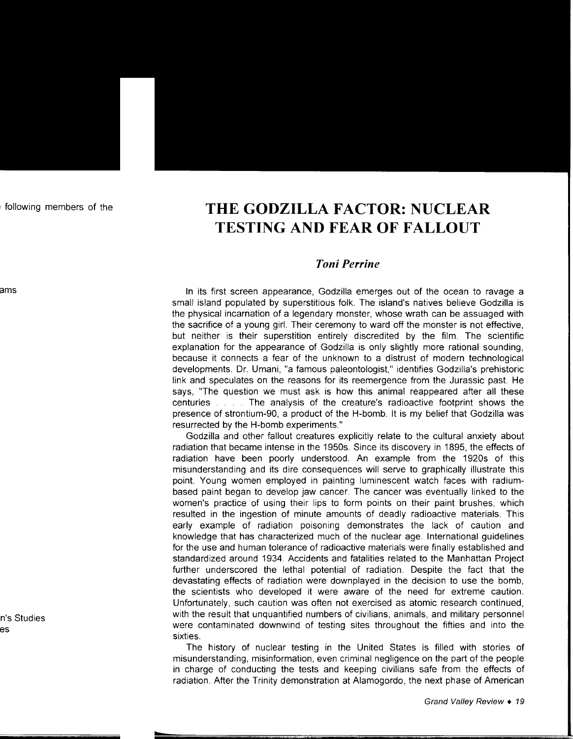# **THEGODZILLAFACTOR:NUCLEAR TESTING AND FEAR OF FALLOUT**

## *Toni Perrine*

In its first screen appearance, Godzilla emerges out of the ocean to ravage a small island populated by superstitious folk. The island's natives believe Godzilla is the physical incarnation of a legendary monster, whose wrath can be assuaged with the sacrifice of a young girl. Their ceremony to ward off the monster is not effective, but neither is their superstition entirely discredited by the film. The scientific explanation for the appearance of Godzilla is only slightly more rational sounding, because it connects a fear of the unknown to a distrust of modern technological developments. Dr. Umani, "a famous paleontologist," identifies Godzilla's prehistoric link and speculates on the reasons for its reemergence from the Jurassic past. He says, "The question we must ask is how this animal reappeared after all these centuries . . . . The analysis of the creature's radioactive footprint shows the presence of strontium-90, a product of the H-bomb. It is my belief that Godzilla was resurrected by the H-bomb experiments."

Godzilla and other fallout creatures explicitly relate to the cultural anxiety about radiation that became intense in the 1950s. Since its discovery in 1895, the effects of radiation have been poorly understood. An example from the 1920s of this misunderstanding and its dire consequences will serve to graphically illustrate this point. Young women employed in painting luminescent watch faces with radiumbased paint began to develop jaw cancer. The cancer was eventually linked to the women's practice of using their lips to form points on their paint brushes, which resulted in the ingestion of minute amounts of deadly radioactive materials. This early example of radiation poisoning demonstrates the lack of caution and knowledge that has characterized much of the nuclear age. International guidelines for the use and human tolerance of radioactive materials were finally established and standardized around 1934. Accidents and fatalities related to the Manhattan Project further underscored the lethal potential of radiation. Despite the fact that the devastating effects of radiation were downplayed in the decision to use the bomb, the scientists who developed it were aware of the need for extreme caution. Unfortunately, such caution was often not exercised as atomic research continued, with the result that unquantified numbers of civilians, animals, and military personnel were contaminated downwind of testing sites throughout the fifties and into the sixties.

The history of nuclear testing in the United States is filled with stories of misunderstanding, misinformation, even criminal negligence on the part of the people in charge of conducting the tests and keeping civilians safe from the effects of radiation. After the Trinity demonstration at Alamogordo, the next phase of American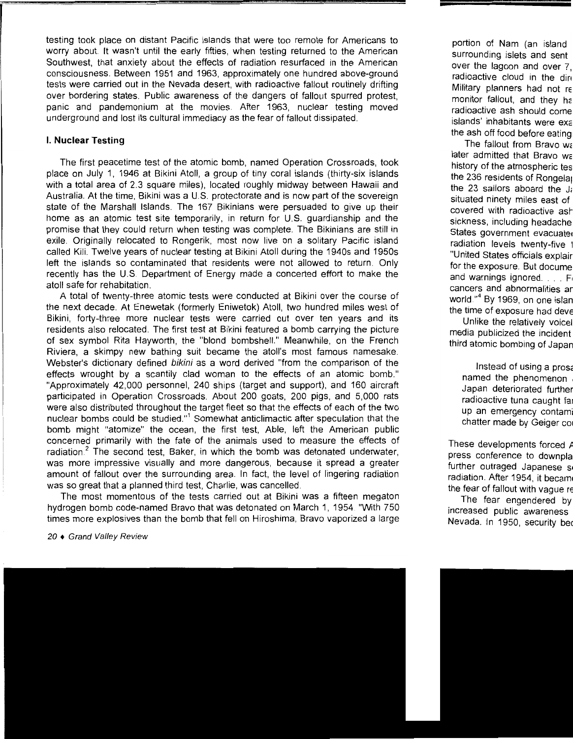testing took place on distant Pacific islands that were too remote for Americans to worry about. It wasn't until the early fifties, when testing returned to the American Southwest, that anxiety about the effects of radiation resurfaced in the American consciousness. Between 1951 and 1963, approximately one hundred above-ground tests were carried out in the Nevada desert, with radioactive fallout routinely drifting over bordering states. Public awareness of the dangers of fallout spurred protest, panic and pandemonium at the movies. After 1963, nuclear testing moved underground and lost its cultural immediacy as the fear of fallout dissipated.

#### I. **Nuclear Testing**

The first peacetime test of the atomic bomb, named Operation Crossroads, took place on July 1, 1946 at Bikini Atoll, a group of tiny coral islands (thirty-six islands with a total area of 2.3 square miles), located roughly midway between Hawaii and Australia. At the time, Bikini was a U.S. protectorate and is now part of the sovereign state of the Marshall Islands. The 167 Bikinians were persuaded to give up their home as an atomic test site temporarily, in return for U.S. guardianship and the promise that they could return when testing was complete. The Bikinians are still in exile. Originally relocated to Rongerik, most now live on a solitary Pacific island called Kili. Twelve years of nuclear testing at Bikini Atoll during the 1940s and 1950s left the islands so contaminated that residents were not allowed to return. Only recently has the U.S. Department of Energy made a concerted effort to make the atoll safe for rehabitation.

A total of twenty-three atomic tests were conducted at Bikini over the course of the next decade. At Enewetak (formerly Eniwetok) Atoll, two hundred miles west of Bikini, forty-three more nuclear tests were carried out over ten years and its residents also relocated. The first test at Bikini featured a bomb carrying the picture of sex symbol Rita Hayworth, the "blond bombshell." Meanwhile, on the French Riviera, a skimpy new bathing suit became the atoll's most famous namesake. Webster's dictionary defined bikini as a word derived "from the comparison of the effects wrought by a scantily clad woman to the effects of an atomic bomb." "Approximately 42,000 personnel, 240 ships (target and support), and 160 aircraft participated in Operation Crossroads. About 200 goats, 200 pigs, and 5,000 rats were also distributed throughout the target fleet so that the effects of each of the two nuclear bombs could be studied."<sup>1</sup> Somewhat anticlimactic after speculation that the bomb might "atomize" the ocean, the first test, Able, left the American public concerned primarily with the fate of the animals used to measure the effects of radiation. $2$  The second test, Baker, in which the bomb was detonated underwater, was more impressive visually and more dangerous, because it spread a greater amount of fallout over the surrounding area. In fact, the level of lingering radiation was so great that a planned third test, Charlie, was cancelled.

The most momentous of the tests carried out at Bikini was a fifteen megaton hydrogen bomb code-named Bravo that was detonated on March 1, 1954. "With 750 times more explosives than the bomb that fell on Hiroshima, Bravo vaporized a large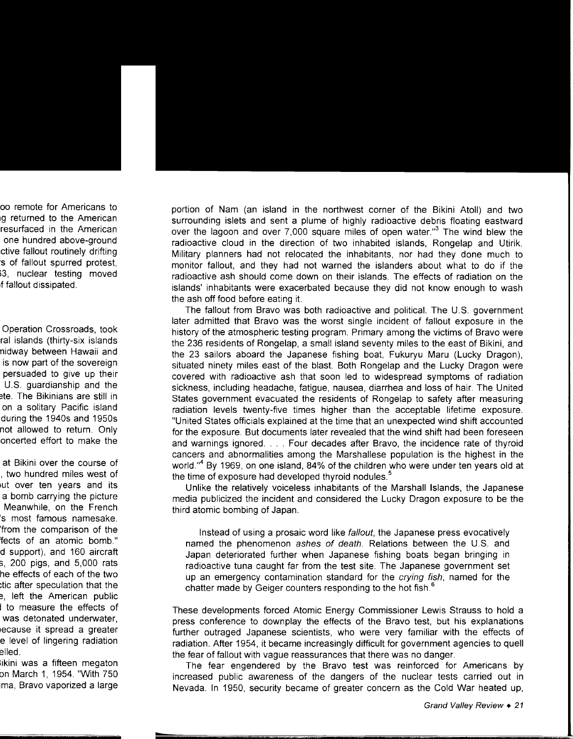portion of Nam (an island in the northwest corner of the Bikini Atoll) and two surrounding islets and sent a plume of highly radioactive debris floating eastward over the lagoon and over 7,000 square miles of open water."<sup>3</sup> The wind blew the radioactive cloud in the direction of two inhabited islands, Rongelap and Utirik. Military planners had not relocated the inhabitants, nor had they done much to monitor fallout, and they had not warned the islanders about what to do if the radioactive ash should come down on their islands. The effects of radiation on the islands' inhabitants were exacerbated because they did not know enough to wash the ash off food before eating it.

The fallout from Bravo was both radioactive and political. The U.S. government later admitted that Bravo was the worst single incident of fallout exposure in the history of the atmospheric testing program. Primary among the victims of Bravo were the 236 residents of Rongelap, a small island seventy miles to the east of Bikini, and the 23 sailors aboard the Japanese fishing boat, Fukuryu Maru (Lucky Dragon), situated ninety miles east of the blast. Both Rongelap and the Lucky Dragon were covered with radioactive ash that soon led to widespread symptoms of radiation sickness, including headache, fatigue, nausea, diarrhea and loss of hair. The United States government evacuated the residents of Rongelap to safety after measuring radiation levels twenty-five times higher than the acceptable lifetime exposure. "United States officials explained at the time that an unexpected wind shift accounted for the exposure. But documents later revealed that the wind shift had been foreseen and warnings ignored .... Four decades after Bravo, the incidence rate of thyroid cancers and abnormalities among the Marshallese population is the highest in the world."4 By 1969, on one island, 84% of the children who were under ten years old at the time of exposure had developed thyroid nodules.<sup>5</sup>

Unlike the relatively voiceless inhabitants of the Marshall Islands, the Japanese media publicized the incident and considered the Lucky Dragon exposure to be the third atomic bombing of Japan.

Instead of using a prosaic word like fallout, the Japanese press evocatively named the phenomenon ashes of death. Relations between the U.S. and Japan deteriorated further when Japanese fishing boats began bringing in radioactive tuna caught far from the test site. The Japanese government set up an emergency contamination standard for the crying fish, named for the chatter made by Geiger counters responding to the hot fish.<sup>6</sup>

These developments forced Atomic Energy Commissioner Lewis Strauss to hold a press conference to downplay the effects of the Bravo test, but his explanations further outraged Japanese scientists, who were very familiar with the effects of radiation. After 1954, it became increasingly difficult for government agencies to quell the fear of fallout with vague reassurances that there was no danger.

The fear engendered by the Bravo test was reinforced for Americans by increased public awareness of the dangers of the nuclear tests carried out in Nevada. In 1950, security became of greater concern as the Cold War heated up,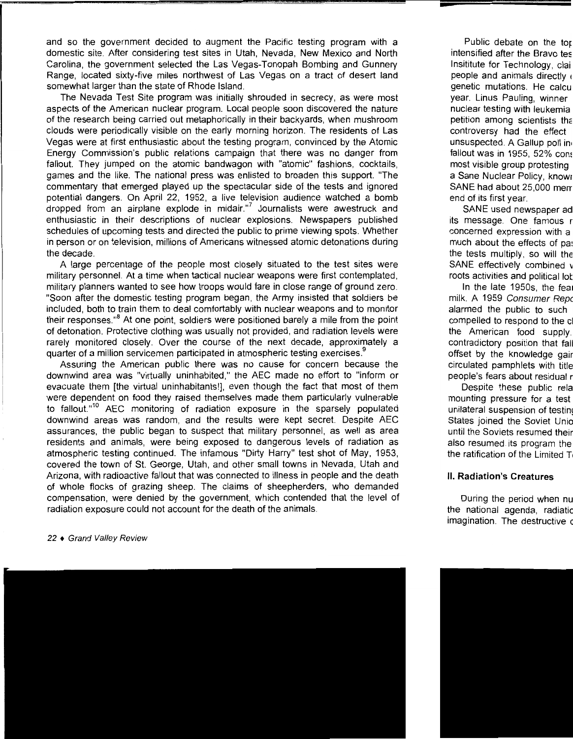and so the government decided to augment the Pacific testing program with a domestic site. After considering test sites in Utah, Nevada, New Mexico and North Carolina, the government selected the Las Vegas-Tonopah Bombing and Gunnery Range, located sixty-five miles northwest of Las Vegas on a tract of desert land somewhat larger than the state of Rhode Island.

The Nevada Test Site program was initially shrouded in secrecy, as were most aspects of the American nuclear program. Local people soon discovered the nature of the research being carried out metaphorically in their backyards, when mushroom clouds were periodically visible on the early morning horizon. The residents of Las Vegas were at first enthusiastic about the testing program, convinced by the Atomic Energy Commission's public relations campaign that there was no danger from fallout. They jumped on the atomic bandwagon with "atomic" fashions, cocktails, games and the like. The national press was enlisted to broaden this support. "The commentary that emerged played up the spectacular side of the tests and ignored potential dangers. On April 22, 1952, a live television audience watched a bomb dropped from an airplane explode in midair."<sup>7</sup> Journalists were awestruck and enthusiastic in their descriptions of nuclear explosions. Newspapers published schedules of upcoming tests and directed the public to prime viewing spots. Whether in person or on television, millions of Americans witnessed atomic detonations during the decade.

A large percentage of the people most closely situated to the test sites were military personnel. At a time when tactical nuclear weapons were first contemplated, military planners wanted to see how troops would fare in close range of ground zero. "Soon after the domestic testing program began, the Army insisted that soldiers be included, both to train them to deal comfortably with nuclear weapons and to monitor their responses."<sup>8</sup> At one point, soldiers were positioned barely a mile from the point of detonation. Protective clothing was usually not provided, and radiation levels were rarely monitored closely. Over the course of the next decade, approximately a quarter of a million servicemen participated in atmospheric testing exercises.<sup>9</sup>

Assuring the American public there was no cause for concern because the downwind area was "virtually uninhabited," the AEC made no effort to "inform or evacuate them [the virtual uninhabitants!], even though the fact that most of them were dependent on food they raised themselves made them particularly vulnerable to fallout."<sup>10</sup> AEC monitoring of radiation exposure in the sparsely populated downwind areas was random, and the results were kept secret. Despite AEC assurances, the public began to suspect that military personnel, as well as area residents and animals, were being exposed to dangerous levels of radiation as atmospheric testing continued. The infamous "Dirty Harry" test shot of May, 1953, covered the town of St. George, Utah, and other small towns in Nevada, Utah and Arizona, with radioactive fallout that was connected to illness in people and the death of whole flocks of grazing sheep. The claims of sheepherders, who demanded compensation, were denied by the government, which contended that the level of radiation exposure could not account for the death of the animals.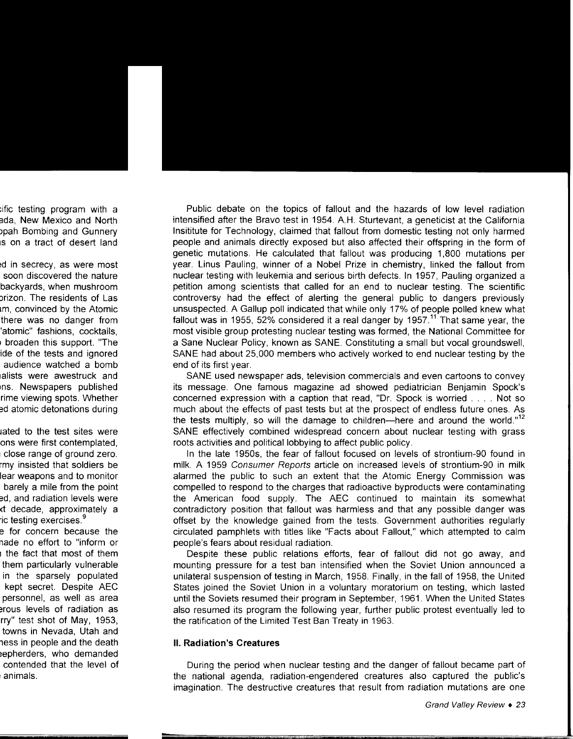Public debate on the topics of fallout and the hazards of low level radiation intensified after the Bravo test in 1954. A.H. Sturtevant, a geneticist at the California lnsititute for Technology, claimed that fallout from domestic testing not only harmed people and animals directly exposed but also affected their offspring in the form of genetic mutations. He calculated that fallout was producing 1 ,800 mutations per year. Linus Pauling, winner of a Nobel Prize in chemistry, linked the fallout from nuclear testing with leukemia and serious birth defects. In 1957, Pauling organized a petition among scientists that called for an end to nuclear testing. The scientific controversy had the effect of alerting the general public to dangers previously unsuspected. A Gallup poll indicated that while only 17% of people polled knew what fallout was in 1955, 52% considered it a real danger by 1957.<sup>11</sup> That same year, the most visible group protesting nuclear testing was formed, the National Committee for a Sane Nuclear Policy, known as SANE. Constituting a small but vocal groundswell, SANE had about 25,000 members who actively worked to end nuclear testing by the end of its first year.

SANE used newspaper ads, television commercials and even cartoons to convey its message. One famous magazine ad showed pediatrician Benjamin Spock's concerned expression with a caption that read, "Dr. Spack is worried .... Not so much about the effects of past tests but at the prospect of endless future ones. As the tests multiply, so will the damage to children-here and around the world." $12$ SANE effectively combined widespread concern about nuclear testing with grass roots activities and political lobbying to affect public policy.

In the late 1950s, the fear of fallout focused on levels of strontium-90 found in milk. A 1959 Consumer Reports article on increased levels of strontium-90 in milk alarmed the public to such an extent that the Atomic Energy Commission was compelled to respond to the charges that radioactive byproducts were contaminating the American food supply. The AEC continued to maintain its somewhat contradictory position that fallout was harmless and that any possible danger was offset by the knowledge gained from the tests. Government authorities regularly circulated pamphlets with titles like "Facts about Fallout," which attempted to calm people's fears about residual radiation.

Despite these public relations efforts, fear of fallout did not go away, and mounting pressure for a test ban intensified when the Soviet Union announced a unilateral suspension of testing in March, 1958. Finally, in the fall of 1958, the United States joined the Soviet Union in a voluntary moratorium on testing, which lasted until the Soviets resumed their program in September, 1961. When the United States also resumed its program the following year, further public protest eventually led to the ratification of the Limited Test Ban Treaty in 1963.

#### **II. Radiation's Creatures**

During the period when nuclear testing and the danger of fallout became part of the national agenda, radiation-engendered creatures also captured the public's imagination. The destructive creatures that result from radiation mutations are one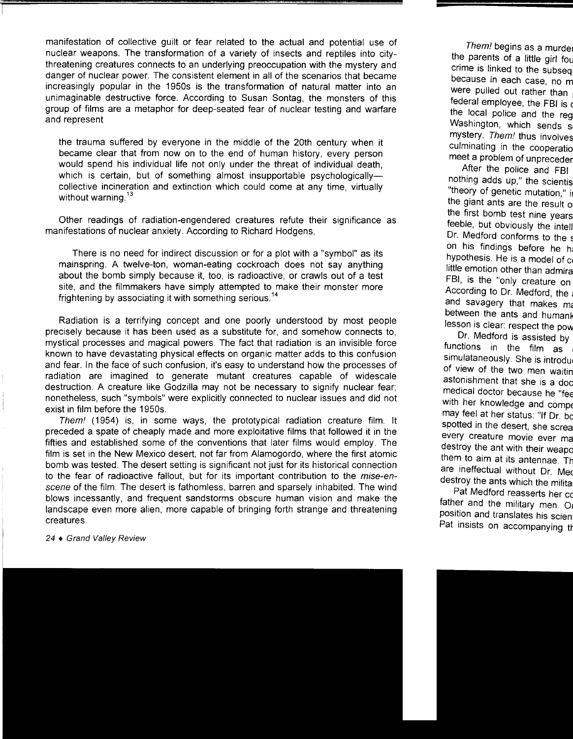manifestation of collective guilt or fear related to the actual and potential use of nuclear weapons. The transformation of a variety of insects and reptiles into citythreatening creatures connects to an underlying preoccupation with the mystery and danger of nuclear power. The consistent element in all of the scenarios that became increasingly popular in the 1950s is the transformation of natural matter into an unimaginable destructive force. According to Susan Sontag, the monsters of this group of films are a metaphor for deep-seated fear of nuclear testing and warfare and represent

the trauma suffered by everyone in the middle of the 20th century when it became clear that from now on to the end of human history, every person would spend his individual life not only under the threat of individual death, which is certain, but of something almost insupportable psychologicallycollective incineration and extinction which could come at any time, virtually without warning.<sup>13</sup>

Other readings of radiation-engendered creatures refute their significance as manifestations of nuclear anxiety. According to Richard Hodgens,

There is no need for indirect discussion or for a plot with a "symbol" as its mainspring. A twelve-ton, woman-eating cockroach does not say anything about the bomb simply because it, too, is radioactive, or crawls out of a test site, and the filmmakers have simply attempted to make their monster more frightening by associating it with something serious.<sup>14</sup>

Radiation is a terrifying concept and one poorly understood by most people precisely because it has been used as a substitute for, and somehow connects to, mystical processes and magical powers. The fact that radiation is an invisible force known to have devastating physical effects on organic matter adds to this confusion and fear. In the face of such confusion, it's easy to understand how the processes of radiation are imagined to generate mutant creatures capable of widescale destruction. A creature like Godzilla may not be necessary to signify nuclear fear; nonetheless, such "symbols" were explicitly connected to nuclear issues and did not exist in film before the 1950s.

Them! (1954) is, in some ways, the prototypical radiation creature film. It preceded a spate of cheaply made and more exploitative films that followed it in the fifties and established some of the conventions that later films would employ. The film is set in the New Mexico desert, not far from Alamogordo, where the first atomic bomb was tested. The desert setting is significant not just for its historical connection to the fear of radioactive fallout, but for its important contribution to the *mise-en*scene of the film. The desert is fathomless, barren and sparsely inhabited. The wind blows incessantly, and frequent sandstorms obscure human vision and make the landscape even more alien, more capable of bringing forth strange and threatening creatures.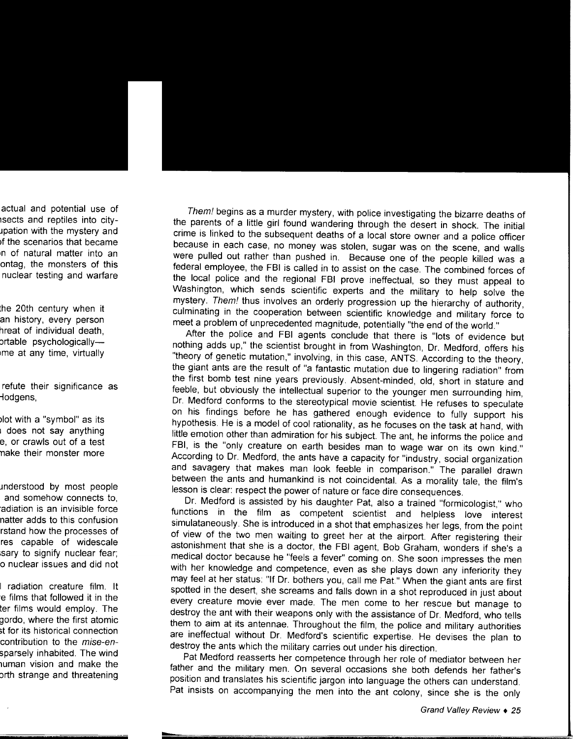Them! begins as a murder mystery, with police investigating the bizarre deaths of the parents of a little girl found wandering through the desert in shock. The initial crime is linked to the subsequent deaths of a local store owner and a police officer because in each case, no money was stolen, sugar was on the scene, and walls were pulled out rather than pushed in. Because one of the people killed was a federal employee, the FBI is called in to assist on the case. The combined forces of the local police and the regional FBI prove ineffectual, so they must appeal to Washington, which sends scientific experts and the military to help solve the mystery. Them! thus involves an orderly progression up the hierarchy of authority, culminating in the cooperation between scientific knowledge and military force to meet a problem of unprecedented magnitude, potentially "the end of the world."

After the police and FBI agents conclude that there is "lots of evidence but nothing adds up," the scientist brought in from Washington, Dr. Medford, offers his "theory of genetic mutation," involving, in this case, ANTS. According to the theory, the giant ants are the result of "a fantastic mutation due to lingering radiation" from the first bomb test nine years previously. Absent-minded, old, short in stature and feeble, but obviously the intellectual superior to the younger men surrounding him, Dr. Medford conforms to the stereotypical movie scientist. He refuses to speculate on his findings before he has gathered enough evidence to fully support his hypothesis. He is a model of cool rationality, as he focuses on the task at hand, with little emotion other than admiration for his subject. The ant, he informs the police and FBI, is the "only creature on earth besides man to wage war on its own kind." According to Dr. Medford, the ants have a capacity for "industry, social organization and savagery that makes man look feeble in comparison." The parallel drawn between the ants and humankind is not coincidental. As a morality tale, the film's lesson is clear: respect the power of nature or face dire consequences.

Dr. Medford is assisted by his daughter Pat, also a trained "formicologist," who functions in the film as competent scientist and helpless love interest simulataneously. She is introduced in a shot that emphasizes her legs, from the point of view of the two men waiting to greet her at the airport. After registering their astonishment that she is a doctor, the FBI agent, Bob Graham, wonders if she's a medical doctor because he "feels a fever" coming on. She soon impresses the men with her knowledge and competence, even as she plays down any inferiority they may feel at her status: "If Dr. bothers you, call me Pat." When the giant ants are first spotted in the desert, she screams and falls down in a shot reproduced in just about every creature movie ever made. The men come to her rescue but manage to destroy the ant with their weapons only with the assistance of Dr. Medford, who tells them to aim at its antennae. Throughout the film, the police and military authorities are ineffectual without Dr. Medford's scientific expertise. He devises the plan to destroy the ants which the military carries out under his direction.

Pat Medford reasserts her competence through her role of mediator between her father and the military men. On several occasions she both defends her father's position and translates his scientific jargon into language the others can understand. Pat insists on accompanying the men into the ant colony, since she is the only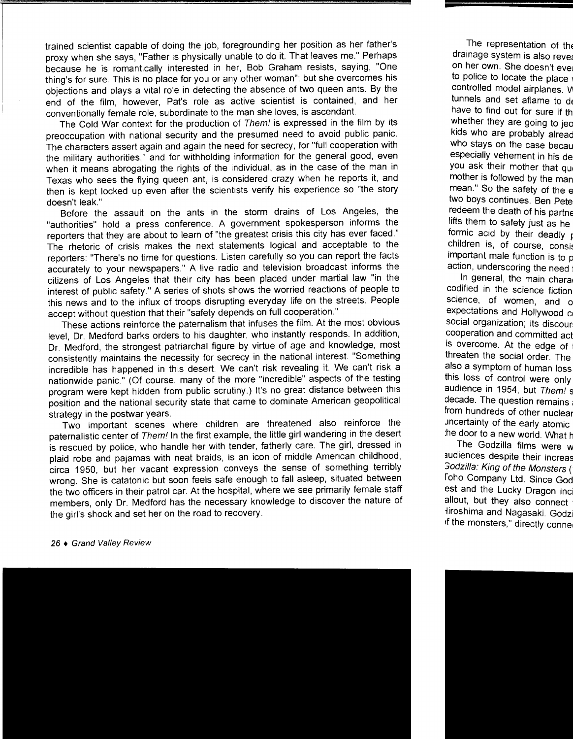trained scientist capable of doing the job, foregrounding her position as her father's proxy when she says, "Father is physically unable to do it. That leaves me." Perhaps because he is romantically interested in her, Bob Graham resists, saying, "One thing's for sure. This is no place for you or any other woman"; but she overcomes his objections and plays a vital role in detecting the absence of two queen ants. By the end of the film, however, Pat's role as active scientist is contained, and her conventionally female role, subordinate to the man she loves, is ascendant.

The Cold War context for the production of Them! is expressed in the film by its preoccupation with national security and the presumed need to avoid public panic. The characters assert again and again the need for secrecy, for "full cooperation with the military authorities," and for withholding information for the general good, even when it means abrogating the rights of the individual, as in the case of the man in Texas who sees the flying queen ant, is considered crazy when he reports it, and then is kept locked up even after the scientists verify his experience so "the story doesn't leak."

Before the assault on the ants in the storm drains of Los Angeles, the "authorities" hold a press conference. A government spokesperson informs the reporters that they are about to learn of "the greatest crisis this city has ever faced." The rhetoric of crisis makes the next statements logical and acceptable to the reporters: "There's no time for questions. Listen carefully so you can report the facts accurately to your newspapers." A live radio and television broadcast informs the citizens of Los Angeles that their city has been placed under martial law "in the interest of public safety." A series of shots shows the worried reactions of people to this news and to the influx of troops disrupting everyday life on the streets. People accept without question that their "safety depends on full cooperation."

These actions reinforce the paternalism that infuses the film. At the most obvious level, Dr. Medford barks orders to his daughter, who instantly responds. In addition, Dr. Medford, the strongest patriarchal figure by virtue of age and knowledge, most consistently maintains the necessity for secrecy in the national interest. "Something incredible has happened in this desert. We can't risk revealing it. We can't risk a nationwide panic." (Of course, many of the more "incredible" aspects of the testing program were kept hidden from public scrutiny.) It's no great distance between this position and the national security state that came to dominate American geopolitical strategy in the postwar years.

Two important scenes where children are threatened also reinforce the paternalistic center of Them! In the first example, the little girl wandering in the desert is rescued by police, who handle her with tender, fatherly care. The girl, dressed in plaid robe and pajamas with neat braids, is an icon of middle American childhood, circa 1950, but her vacant expression conveys the sense of something terribly wrong. She is catatonic but soon feels safe enough to fall asleep, situated between the two officers in their patrol car. At the hospital, where we see primarily female staff members, only Dr. Medford has the necessary knowledge to discover the nature of the girl's shock and set her on the road to recovery.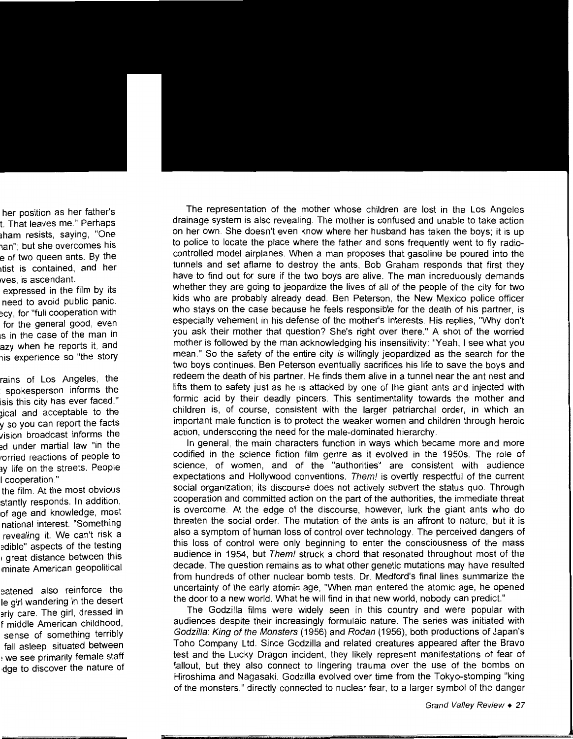The representation of the mother whose children are lost in the Los Angeles drainage system is also revealing. The mother is confused and unable to take action on her own. She doesn't even know where her husband has taken the boys; it is up to police to locate the place where the father and sons frequently went to fly radiocontrolled model airplanes. When a man proposes that gasoline be poured into the tunnels and set aflame to destroy the ants, Bob Graham responds that first they have to find out for sure if the two boys are alive. The man increduously demands whether they are going to jeopardize the lives of all of the people of the city for two kids who are probably already dead. Ben Peterson, the New Mexico police officer who stays on the case because he feels responsible for the death of his partner, is especially vehement in his defense of the mother's interests. His replies, "Why don't you ask their mother that question? She's right over there." A shot of the worried mother is followed by the man acknowledging his insensitivity: "Yeah, I see what you mean." So the safety of the entire city is willingly jeopardized as the search for the two boys continues. Ben Peterson eventually sacrifices his life to save the boys and redeem the death of his partner. He finds them alive in a tunnel near the ant nest and lifts them to safety just as he is attacked by one of the giant ants and injected with formic acid by their deadly pincers. This sentimentality towards the mother and children is, of course, consistent with the larger patriarchal order, in which an important male function is to protect the weaker women and children through heroic action, underscoring the need for the male-dominated hierarchy.

In general, the main characters function in ways which became more and more codified in the science fiction film genre as it evolved in the 1950s. The role of science, of women, and of the "authorities" are consistent with audience expectations and Hollywood conventions. Them! is overtly respectful of the current social organization; its discourse does not actively subvert the status quo. Through cooperation and committed action on the part of the authorities, the immediate threat is overcome. At the edge of the discourse, however, lurk the giant ants who do threaten the social order. The mutation of the ants is an affront to nature, but it is also a symptom of human loss of control over technology. The perceived dangers of this loss of control were only beginning to enter the consciousness of the mass audience in 1954, but Them! struck a chord that resonated throughout most of the decade. The question remains as to what other genetic mutations may have resulted from hundreds of other nuclear bomb tests. Dr. Medford's final lines summarize the uncertainty of the early atomic age, "When man entered the atomic age, he opened the door to a new world. What he will find in that new world, nobody can predict."

The Godzilla films were widely seen in this country and were popular with audiences despite their increasingly formulaic nature. The series was initiated with Godzilla: King of the Monsters (1956) and Rodan (1956), both productions of Japan's Toho Company Ltd. Since Godzilla and related creatures appeared after the Bravo test and the Lucky Dragon incident, they likely represent manifestations of fear of fallout, but they also connect to lingering trauma over the use of the bombs on Hiroshima and Nagasaki. Godzilla evolved over time from the Tokyo-stomping "king of the monsters," directly connected to nuclear fear, to a larger symbol of the danger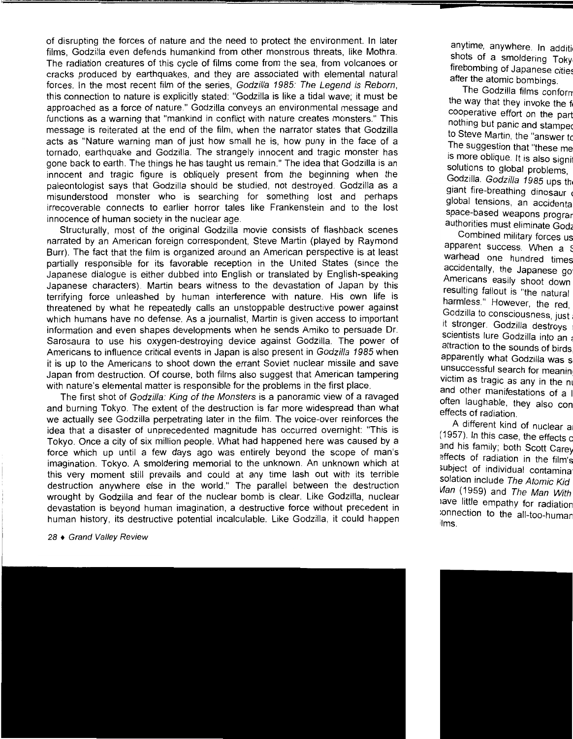of disrupting the forces of nature and the need to protect the environment. In later films, Godzilla even defends humankind from other monstrous threats, like Mothra. The radiation creatures of this cycle of films come from the sea, from volcanoes or cracks produced by earthquakes, and they are associated with elemental natural forces. In the most recent film of the series, Godzilla 1985: The Legend is Reborn, this connection to nature is explicitly stated: "Godzilla is like a tidal wave; it must be approached as a force of nature." Godzilla conveys an environmental message and functions as a warning that "mankind in conflict with nature creates monsters." This message is reiterated at the end of the film, when the narrator states that Godzilla acts as "Nature warning man of just how small he is, how puny in the face of a tornado, earthquake and Godzilla. The strangely innocent and tragic monster has gone back to earth. The things he has taught us remain." The idea that Godzilla is an innocent and tragic figure is obliquely present from the beginning when the paleontologist says that Godzilla should be studied, not destroyed. Godzilla as a misunderstood monster who is searching for something lost and perhaps Irrecoverable connects to earlier horror tales like Frankenstein and to the lost innocence of human society in the nuclear age.

Structurally, most of the original Godzilla movie consists of flashback scenes narrated by an American foreign correspondent, Steve Martin (played by Raymond Burr). The fact that the film is organized around an American perspective is at least partially responsible for its favorable reception in the United States (since the Japanese dialogue is either dubbed into English or translated by English-speaking Japanese characters). Martin bears witness to the devastation of Japan by this terrifying force unleashed by human interference with nature. His own life is threatened by what he repeatedly calls an unstoppable destructive power against which humans have no defense. As a journalist, Martin is given access to important information and even shapes developments when he sends Amiko to persuade Dr. Sarosaura to use his oxygen-destroying device against Godzilla. The power of Americans to influence critical events in Japan is also present in Godzilla 1985 when it is up to the Americans to shoot down the errant Soviet nuclear missile and save Japan from destruction. Of course, both films also suggest that American tampering with nature's elemental matter is responsible for the problems in the first place.

The first shot of Godzilla: King of the Monsters is a panoramic view of a ravaged and burning Tokyo. The extent of the destruction is far more widespread than what we actually see Godzilla perpetrating later in the film. The voice-over reinforces the idea that a disaster of unprecedented magnitude has occurred overnight: "This is Tokyo. Once a city of six million people. What had happened here was caused by a force which up until a few days ago was entirely beyond the scope of man's imagination. Tokyo. A smoldering memorial to the unknown. An unknown which at this very moment still prevails and could at any time lash out with its terrible destruction anywhere else in the world." The parallel between the destruction wrought by Godzilla and fear of the nuclear bomb is clear. Like Godzilla, nuclear devastation is beyond human imagination, a destructive force without precedent in human history, its destructive potential incalculable. Like Godzilla, it could happen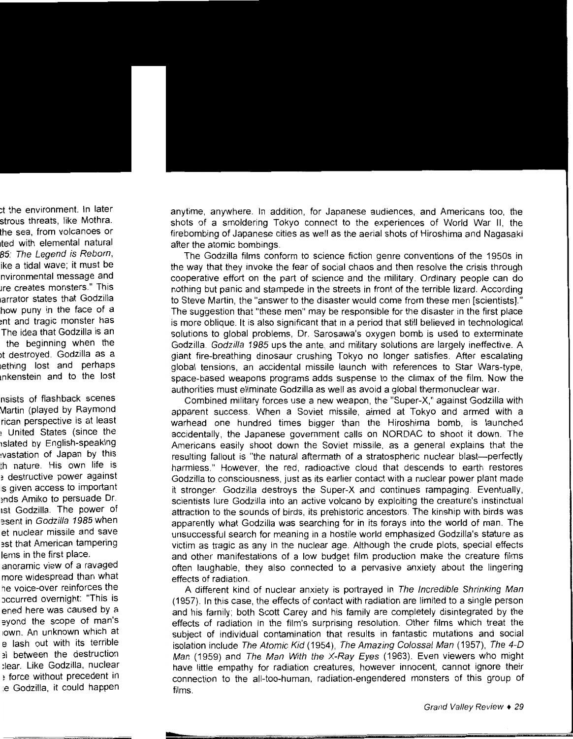anytime, anywhere. In addition, for Japanese audiences, and Americans too, the shots of a smoldering Tokyo connect to the experiences of World War II, the firebombing of Japanese cities as well as the aerial shots of Hiroshima and Nagasaki after the atomic bombings.

The Godzilla films conform to science fiction genre conventions of the 1950s in the way that they invoke the fear of social chaos and then resolve the crisis through cooperative effort on the part of science and the military. Ordinary people can do nothing but panic and stampede in the streets in front of the terrible lizard. According to Steve Martin, the "answer to the disaster would come from these men [scientists]." The suggestion that "these men" may be responsible for the disaster in the first place is more oblique. It is also significant that in a period that still believed in technological solutions to global problems, Dr. Sarosawa's oxygen bomb is used to exterminate Godzilla. Godzilla 1985 ups the ante, and military solutions are largely ineffective. A giant fire-breathing dinosaur crushing Tokyo no longer satisfies. After escalating global tensions, an accidental missile launch with references to Star Wars-type, space-based weapons programs adds suspense to the climax of the film. Now the authorities must eliminate Godzilla as well as avoid a global thermonuclear war.

Combined military forces use a new weapon, the "Super-X," against Godzilla with apparent success. When a Soviet missile, aimed at Tokyo and armed with a warhead one hundred times bigger than the Hiroshima bomb, is launched accidentally, the Japanese government calls on NORDAC to shoot it down. The Americans easily shoot down the Soviet missile, as a general explains that the resulting fallout is "the natural aftermath of a stratospheric nuclear blast-perfectly harmless." However, the red, radioactive cloud that descends to earth restores Godzilla to consciousness, just as its earlier contact with a nuclear power plant made it stronger Godzilla destroys the Super-X and continues rampaging. Eventually, scientists lure Godzilla into an active volcano by exploiting the creature's instinctual attraction to the sounds of birds, its prehistoric ancestors. The kinship with birds was apparently what Godzilla was searching for in its forays into the world of man. The unsuccessful search for meaning in a hostile world emphasized Godzilla's stature as victim as tragic as any in the nuclear age. Although the crude plots, special effects and other manifestations of a low budget film production make the creature films often laughable, they also connected to a pervasive anxiety about the lingering effects of radiation.

A different kind of nuclear anxiety is portrayed in The Incredible Shrinking Man (1957). In this case, the effects of contact with radiation are limited to a single person and his family; both Scott Carey and his family are completely disintegrated by the effects of radiation in the film's surprising resolution. Other films which treat the subject of individual contamination that results in fantastic mutations and social isolation include The Atomic Kid (1954), The Amazing Colossal Man (1957), The 4-0 Man (1959) and *The Man With the X-Ray Eyes* (1963). Even viewers who might have little empathy for radiation creatures, however innocent, cannot ignore their connection to the all-too-human, radiation-engendered monsters of this group of films.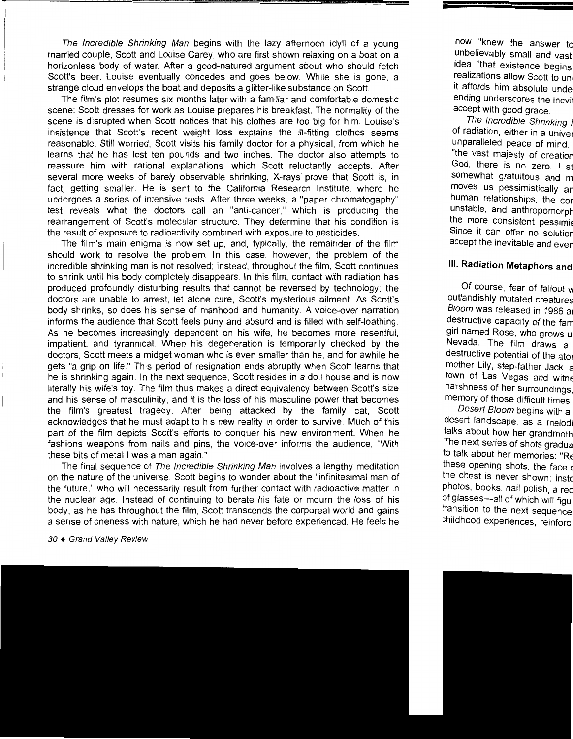The Incredible Shrinking Man begins with the lazy afternoon idyll of a young married couple, Scott and Louise Carey, who are first shown relaxing on a boat on a horizonless body of water. After a good-natured argument about who should fetch Scott's beer, Louise eventually concedes and goes below. While she is gone, a strange cloud envelops the boat and deposits a glitter-like substance on Scott.

The film's plot resumes six months later with a familiar and comfortable domestic scene: Scott dresses for work as Louise prepares his breakfast. The normality of the scene is disrupted when Scott notices that his clothes are too big for him. Louise's insistence that Scott's recent weight loss explains the ill-fitting clothes seems reasonable. Still worried, Scott visits his family doctor for a physical, from which he learns that he has lost ten pounds and two inches. The doctor also attempts to reassure him with rational explanations, which Scott reluctantly accepts. After several more weeks of barely observable shrinking, X-rays prove that Scott is, in fact, getting smaller. He is sent to the California Research Institute, where he undergoes a series of intensive tests. After three weeks, a "paper chromatogaphy" test reveals what the doctors call an "anti-cancer," which is producing the rearrangement of Scott's molecular structure. They determine that his condition is the result of exposure to radioactivity combined with exposure to pesticides.

The film's main enigma is now set up, and, typically, the remainder of the film should work to resolve the problem. In this case, however, the problem of the incredible shrinking man is not resolved; instead, throughout the film, Scott continues to shrink until his body completely disappears. In this film, contact with radiation has produced profoundly disturbing results that cannot be reversed by technology: the doctors are unable to arrest, let alone cure, Scott's mysterious ailment. As Scott's body shrinks, so does his sense of manhood and humanity. A voice-over narration informs the audience that Scott feels puny and absurd and is filled with self-loathing. As he becomes increasingly dependent on his wife, he becomes more resentful, impatient, and tyrannical. When his degeneration is temporarily checked by the doctors, Scott meets a midget woman who is even smaller than he, and for awhile he gets "a grip on life." This period of resignation ends abruptly when Scott learns that he is shrinking again. In the next sequence, Scott resides in a doll house and is now literally his wife's toy. The film thus makes a direct equivalency between Scott's size and his sense of masculinity, and it is the loss of his masculine power that becomes the film's greatest tragedy. After being attacked by the family cat, Scott acknowledges that he must adapt to his new reality in order to survive. Much of this part of the film depicts Scott's efforts to conquer his new environment. When he fashions weapons from nails and pins, the voice-over informs the audience, "With these bits of metal I was a man again."

The final sequence of The Incredible Shrinking Man involves a lengthy meditation on the nature of the universe. Scott begins to wonder about the "infinitesimal man of the future," who will necessarily result from further contact with radioactive matter in the nuclear age. Instead of continuing to berate his fate or mourn the loss of his body, as he has throughout the film, Scott transcends the corporeal world and gains a sense of oneness with nature, which he had never before experienced. He feels he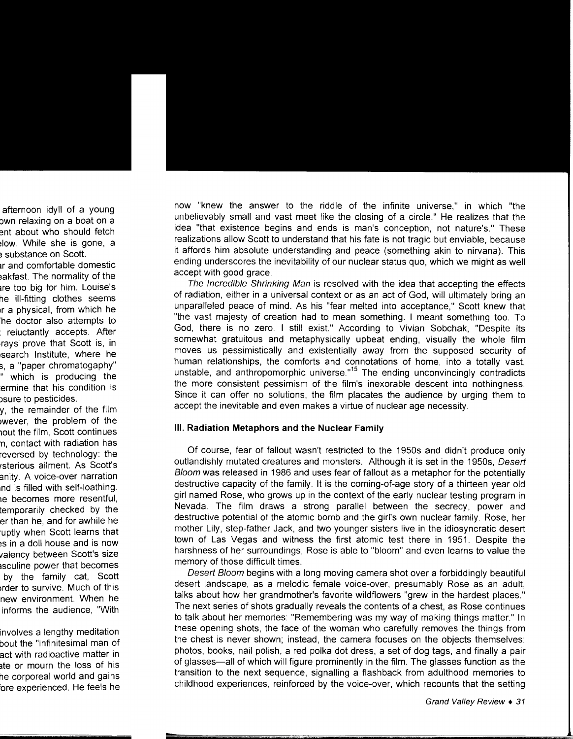now "knew the answer to the riddle of the infinite universe," in which "the unbelievably small and vast meet like the closing of a circle." He realizes that the idea "that existence begins and ends is man's conception, not nature's." These realizations allow Scott to understand that his fate is not tragic but enviable, because it affords him absolute understanding and peace (something akin to nirvana). This ending underscores the inevitability of our nuclear status quo, which we might as well accept with good grace.

The Incredible Shrinking Man is resolved with the idea that accepting the effects of radiation, either in a universal context or as an act of God, will ultimately bring an unparalleled peace of mind. As his "fear melted into acceptance," Scott knew that "the vast majesty of creation had to mean something. I meant something too. To God, there is no zero. I still exist." According to Vivian Sobchak, "Despite its somewhat gratuitous and metaphysically upbeat ending, visually the whole film moves us pessimistically and existentially away from the supposed security of human relationships, the comforts and connotations of home, into a totally vast, unstable, and anthropomorphic universe. $15$  The ending unconvincingly contradicts the more consistent pessimism of the film's inexorable descent into nothingness. Since it can offer no solutions, the film placates the audience by urging them to accept the inevitable and even makes a virtue of nuclear age necessity.

#### **Ill. Radiation Metaphors and the Nuclear Family**

Of course, fear of fallout wasn't restricted to the 1950s and didn't produce only outlandishly mutated creatures and monsters. Although it is set in the 1950s, Desert Bloom was released in 1986 and uses fear of fallout as a metaphor for the potentially destructive capacity of the family. It is the coming-of-age story of a thirteen year old girl named Rose, who grows up in the context of the early nuclear testing program in Nevada. The film draws a strong parallel between the secrecy, power and destructive potential of the atomic bomb and the girl's own nuclear family. Rose, her mother Lily, step-father Jack, and two younger sisters live in the idiosyncratic desert town of Las Vegas and witness the first atomic test there in 1951. Despite the harshness of her surroundings, Rose is able to "bloom" and even learns to value the memory of those difficult times.

Desert Bloom begins with a long moving camera shot over a forbiddingly beautiful desert landscape, as a melodic female voice-over, presumably Rose as an adult, talks about how her grandmother's favorite wildflowers "grew in the hardest places." The next series of shots gradually reveals the contents of a chest, as Rose continues to talk about her memories: "Remembering was my way of making things matter." In these opening shots, the face of the woman who carefully removes the things from the chest is never shown; instead, the camera focuses on the objects themselves: photos, books, nail polish, a red polka dot dress, a set of dog tags, and finally a pair of glasses-all of which will figure prominently in the film. The glasses function as the transition to the next sequence, signalling a flashback from adulthood memories to childhood experiences, reinforced by the voice-over, which recounts that the setting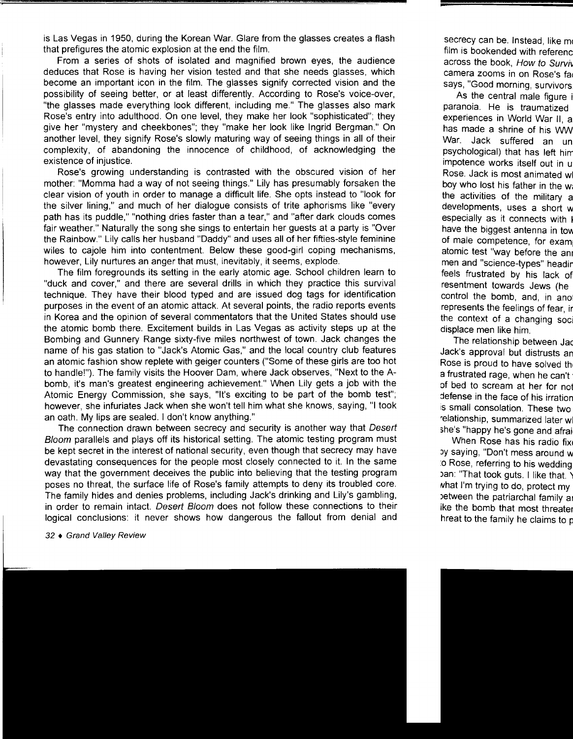is Las Vegas in 1950, during the Korean War. Glare from the glasses creates a flash that prefigures the atomic explosion at the end the film.

From a series of shots of isolated and magnified brown eyes, the audience deduces that Rose is having her vision tested and that she needs glasses, which become an important icon in the film. The glasses signify corrected vision and the possibility of seeing better, or at least differently. According to Rose's voice-over, "the glasses made everything look different, including me." The glasses also mark Rose's entry into adulthood. On one level, they make her look "sophisticated"; they give her "mystery and cheekbones"; they "make her look like Ingrid Bergman." On another level, they signify Rose's slowly maturing way of seeing things in all of their complexity, of abandoning the innocence of childhood, of acknowledging the existence of injustice.

Rose's growing understanding is contrasted with the obscured vision of her mother: "Momma had a way of not seeing things." Lily has presumably forsaken the clear vision of youth in order to manage a difficult life. She opts instead to "look for the silver lining," and much of her dialogue consists of trite aphorisms like "every path has its puddle," "nothing dries faster than a tear," and "after dark clouds comes fair weather." Naturally the song she sings to entertain her guests at a party is "Over the Rainbow." Lily calls her husband "Daddy" and uses all of her fifties-style feminine wiles to cajole him into contentment. Below these good-girl coping mechanisms, however, Lily nurtures an anger that must, inevitably, it seems, explode.

The film foregrounds its setting in the early atomic age. School children learn to "duck and cover," and there are several drills in which they practice this survival technique. They have their blood typed and are issued dog tags for identification purposes in the event of an atomic attack. At several points, the radio reports events in Korea and the opinion of several commentators that the United States should use the atomic bomb there. Excitement builds in Las Vegas as activity steps up at the Bombing and Gunnery Range sixty-five miles northwest of town. Jack changes the name of his gas station to "Jack's Atomic Gas," and the local country club features an atomic fashion show replete with geiger counters ("Some of these girls are too hot to handle!"). The family visits the Hoover Dam, where Jack observes, "Next to the Abomb, it's man's greatest engineering achievement." When Lily gets a job with the Atomic Energy Commission, she says, "It's exciting to be part of the bomb test"; however, she infuriates Jack when she won't tell him what she knows, saying, "I took an oath. My lips are sealed. I don't know anything."

The connection drawn between secrecy and security is another way that Desert Bloom parallels and plays off its historical setting. The atomic testing program must be kept secret in the interest of national security, even though that secrecy may have devastating consequences for the people most closely connected to it. In the same way that the government deceives the public into believing that the testing program poses no threat, the surface life of Rose's family attempts to deny its troubled core. The family hides and denies problems, including Jack's drinking and Lily's gambling, in order to remain intact. Desert Bloom does not follow these connections to their logical conclusions: it never shows how dangerous the fallout from denial and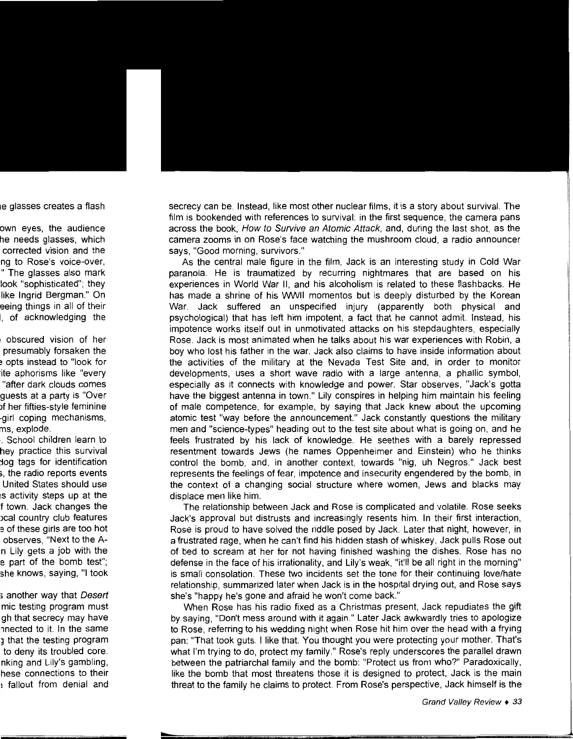secrecy can be. Instead, like most other nuclear films, it is a story about survival. The film is bookended with references to survival: in the first sequence, the camera pans across the book, How to Survive an Atomic Attack, and, during the last shot, as the camera zooms in on Rose's face watching the mushroom cloud, a radio announcer says, "Good morning, survivors."

As the central male figure in the film, Jack is an interesting study in Cold War paranoia. He is traumatized by recurring nightmares that are based on his experiences in World War II, and his alcoholism is related to these flashbacks. He has made a shrine of his WWII momentos but is deeply disturbed by the Korean War. Jack suffered an unspecified injury (apparently both physical and psychological) that has left him impotent, a fact that he cannot admit. Instead, his impotence works itself out in unmotivated attacks on his stepdaughters, especially Rose. Jack is most animated when he talks about his war experiences with Robin, a boy who lost his father in the war. Jack also claims to have inside information about the activities of the military at the Nevada Test Site and, in order to monitor developments, uses a short wave radio with a large antenna, a phallic symbol, especially as it connects with knowledge and power. Star observes, "Jack's gotta have the biggest antenna in town." Lily conspires in helping him maintain his feeling of male competence, for example, by saying that Jack knew about the upcoming atomic test "way before the announcement." Jack constantly questions the military men and "science-types" heading out to the test site about what is going on, and he feels frustrated by his lack of knowledge. He seethes with a barely repressed resentment towards Jews (he names Oppenheimer and Einstein) who he thinks control the bomb, and, in another context, towards "nig, uh Negros." Jack best represents the feelings of fear, impotence and insecurity engendered by the bomb, in the context of a changing social structure where women, Jews and blacks may displace men like him.

The relationship between Jack and Rose is complicated and volatile. Rose seeks Jack's approval but distrusts and increasingly resents him. In their first interaction, Rose is proud to have solved the riddle posed by Jack. Later that night, however, in a frustrated rage, when he can't find his hidden stash of whiskey, Jack pulls Rose out of bed to scream at her for not having finished washing the dishes. Rose has no defense in the face of his irrationality, and Lily's weak, "it'll be all right in the morning" is small consolation. These two incidents set the tone for their continuing love/hate relationship, summarized later when Jack is in the hospital drying out, and Rose says she's "happy he's gone and afraid he won't come back."

When Rose has his radio fixed as a Christmas present, Jack repudiates the gift by saying, "Don't mess around with it again." Later Jack awkwardly tries to apologize to Rose, referring to his wedding night when Rose hit him over the head with a frying pan: "That took guts. I like that. You thought you were protecting your mother. That's what I'm trying to do, protect my family." Rose's reply underscores the parallel drawn between the patriarchal family and the bomb: "Protect us from who?" Paradoxically, like the bomb that most threatens those it is designed to protect, Jack is the main threat to the family he claims to protect. From Rose's perspective, Jack himself is the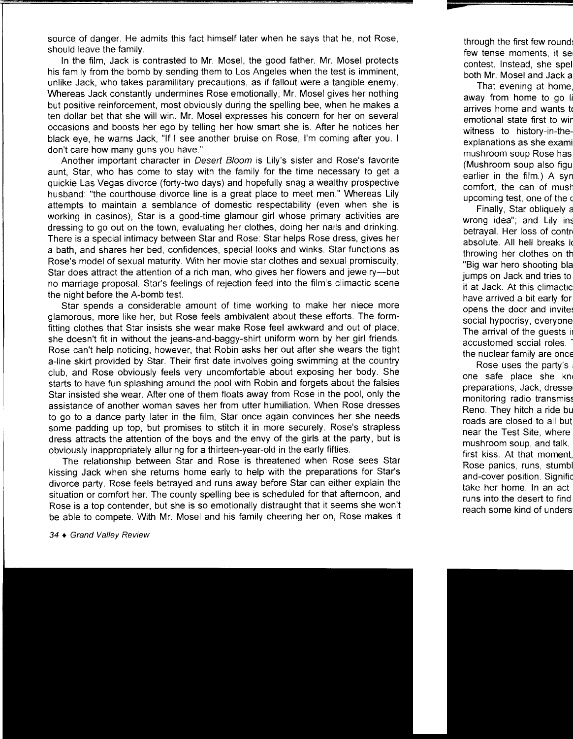source of danger. He admits this fact himself later when he says that he, not Rose, should leave the family.

In the film, Jack is contrasted to Mr. Mosel, the good father. Mr. Mosel protects his family from the bomb by sending them to Los Angeles when the test is imminent, unlike Jack, who takes paramilitary precautions, as if fallout were a tangible enemy. Whereas Jack constantly undermines Rose emotionally, Mr. Mosel gives her nothing but positive reinforcement, most obviously during the spelling bee, when he makes a ten dollar bet that she will win. Mr. Mosel expresses his concern for her on several occasions and boosts her ego by telling her how smart she is. After he notices her black eye, he warns Jack, "If I see another bruise on Rose, I'm coming after you. I don't care how many guns you have."

Another important character in Desert Bloom is Lily's sister and Rose's favorite aunt, Star, who has come to stay with the family for the time necessary to get a quickie Las Vegas divorce (forty-two days) and hopefully snag a wealthy prospective husband: "the courthouse divorce line is a great place to meet men." Whereas Lily attempts to maintain a semblance of domestic respectability (even when she is working in casinos), Star is a good-time glamour girl whose primary activities are dressing to go out on the town, evaluating her clothes, doing her nails and drinking. There is a special intimacy between Star and Rose: Star helps Rose dress, gives her a bath, and shares her bed, confidences, special looks and winks. Star functions as Rose's model of sexual maturity. With her movie star clothes and sexual promiscuity, Star does attract the attention of a rich man, who gives her flowers and jewelry-but no marriage proposal. Star's feelings of rejection feed into the film's climactic scene the night before the A-bomb test.

Star spends a considerable amount of time working to make her mece more glamorous, more like her, but Rose feels ambivalent about these efforts. The formfitting clothes that Star insists she wear make Rose feel awkward and out of place; she doesn't fit in without the jeans-and-baggy-shirt uniform worn by her girl friends. Rose can't help noticing, however, that Robin asks her out after she wears the tight a-line skirt provided by Star. Their first date involves going swimming at the country club, and Rose obviously feels very uncomfortable about exposing her body. She starts to have fun splashing around the pool with Robin and forgets about the falsies Star insisted she wear. After one of them floats away from Rose in the pool, only the assistance of another woman saves her from utter humiliation. When Rose dresses to go to a dance party later in the film, Star once again convinces her she needs some padding up top, but promises to stitch it in more securely. Rose's strapless dress attracts the attention of the boys and the envy of the girls at the party, but is obviously inappropriately alluring for a thirteen-year-old in the early fifties.

The relationship between Star and Rose is threatened when Rose sees Star kissing Jack when she returns home early to help with the preparations for Star's divorce party. Rose feels betrayed and runs away before Star can either explain the situation or comfort her. The county spelling bee is scheduled for that afternoon, and Rose is a top contender, but she is so emotionally distraught that it seems she won't be able to compete. With Mr. Mosel and his family cheering her on, Rose makes it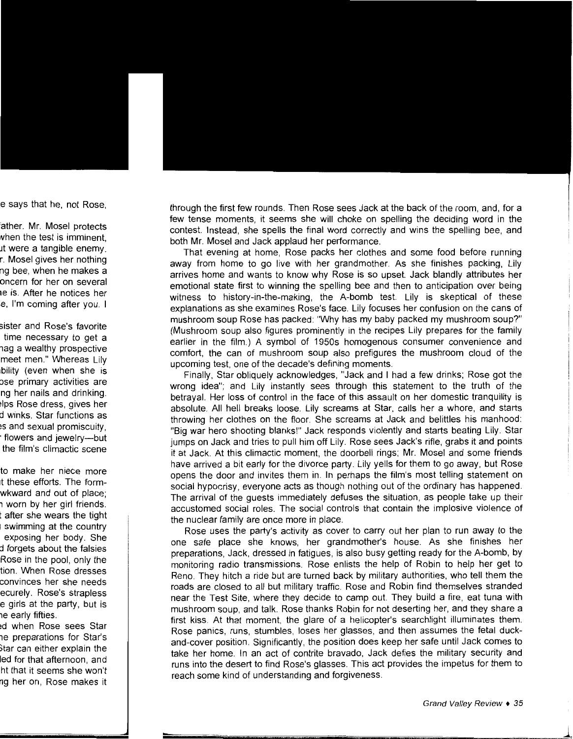through the first few rounds. Then Rose sees Jack at the back of the room, and, for a few tense moments, it seems she will choke on spelling the deciding word in the contest. Instead, she spells the final word correctly and wins the spelling bee, and both Mr. Mosel and Jack applaud her performance.

That evening at home, Rose packs her clothes and some food before running away from home to go live with her grandmother. As she finishes packing, Lily arrives home and wants to know why Rose is so upset. Jack blandly attributes her emotional state first to winning the spelling bee and then to anticipation over being witness to history-in-the-making, the A-bomb test. Lily is skeptical of these explanations as she examines Rose's face. Lily focuses her confusion on the cans of mushroom soup Rose has packed: "Why has my baby packed my mushroom soup?" (Mushroom soup also figures prominently in the recipes Lily prepares for the family earlier in the film.) A symbol of 1950s homogenous consumer convenience and comfort, the can of mushroom soup also prefigures the mushroom cloud of the upcoming test, one of the decade's defining moments.

Finally, Star obliquely acknowledges, "Jack and I had a few drinks; Rose got the wrong idea"; and Lily instantly sees through this statement to the truth of the betrayal. Her loss of control in the face of this assault on her domestic tranquility is absolute. All hell breaks loose. Lily screams at Star, calls her a whore, and starts throwing her clothes on the floor. She screams at Jack and belittles his manhood: "Big war hero shooting blanks!" Jack responds violently and starts beating Lily. Star jumps on Jack and tries to pull him off Lily. Rose sees Jack's rifle, grabs it and points it at Jack. At this climactic moment, the doorbell rings; Mr. Mosel and some friends have arrived a bit early for the divorce party. Lily yells for them to go away, but Rose opens the door and invites them in. In perhaps the film's most telling statement on social hypocrisy, everyone acts as though nothing out of the ordinary has happened. The arrival of the guests immediately defuses the situation, as people take up their accustomed social roles. The social controls that contain the implosive violence of the nuclear family are once more in place.

Rose uses the party's activity as cover to carry out her plan to run away to the one safe place she knows, her grandmother's house. As she finishes her preparations, Jack, dressed in fatigues, is also busy getting ready for the A-bomb, by monitoring radio transmissions. Rose enlists the help of Robin to help her get to Reno. They hitch a ride but are turned back by military authorities, who tell them the roads are closed to all but military traffic. Rose and Robin find themselves stranded near the Test Site, where they decide to camp out. They build a fire, eat tuna with mushroom soup, and talk. Rose thanks Robin for not deserting her, and they share a first kiss. At that moment, the glare of a helicopter's searchlight illuminates them. Rose panics, runs, stumbles, loses her glasses, and then assumes the fetal duckand-cover position. Significantly, the position does keep her safe until Jack comes to take her home. In an act of contrite bravado, Jack defies the military security and runs into the desert to find Rose's glasses. This act provides the impetus for them to reach some kind of understanding and forgiveness.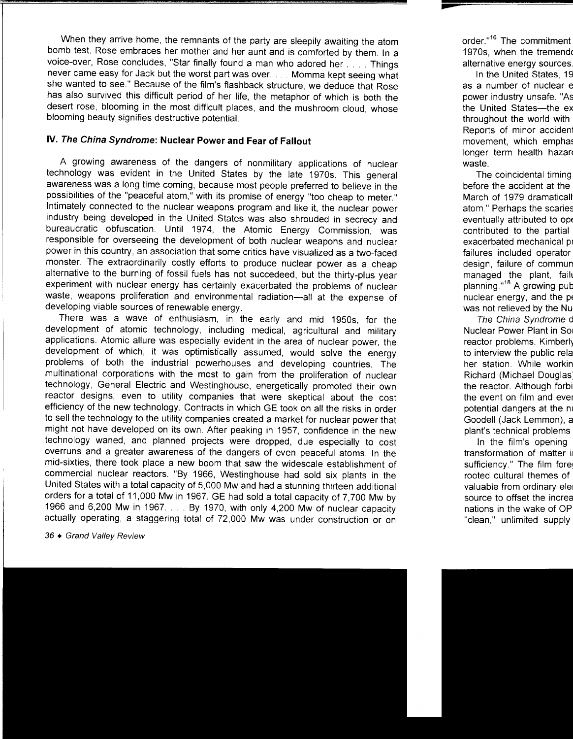When they arrive home, the remnants of the party are sleepily awaiting the atom bomb test. Rose embraces her mother and her aunt and is comforted by them. In a voice-over, Rose concludes, "Star finally found a man who adored her .... Things never came easy for Jack but the worst part was over .... Momma kept seeing what she wanted to see." Because of the film's flashback structure, we deduce that Rose has also survived this difficult period of her life, the metaphor of which is both the desert rose, blooming in the most difficult places, and the mushroom cloud, whose blooming beauty signifies destructive potential.

## **IV. The China Syndrome: Nuclear Power and Fear of Fallout**

A growing awareness of the dangers of nonmilitary applications of nuclear technology was evident in the United States by the late 1970s. This general awareness was a long time coming, because most people preferred to believe in the possibilities of the "peaceful atom," with its promise of energy "too cheap to meter." Intimately connected to the nuclear weapons program and like it, the nuclear power industry being developed in the United States was also shrouded in secrecy and bureaucratic obfuscation. Until 1974, the Atomic Energy Commission, was responsible for overseeing the development of both nuclear weapons and nuclear power in this country, an association that some critics have visualized as a two-faced monster. The extraordinarily costly efforts to produce nuclear power as a cheap alternative to the burning of fossil fuels has not succedeed, but the thirty-plus year experiment with nuclear energy has certainly exacerbated the problems of nuclear waste, weapons proliferation and environmental radiation-all at the expense of developing viable sources of renewable energy.

There was a wave of enthusiasm, in the early and mid 1950s, for the development of atomic technology, including medical, agricultural and military applications. Atomic allure was especially evident in the area of nuclear power, the development of which, it was optimistically assumed, would solve the energy problems of both the industrial powerhouses and developing countries. The multinational corporations with the most to gain from the proliferation of nuclear technology, General Electric and Westinghouse, energetically promoted their own reactor designs, even to utility companies that were skeptical about the cost efficiency of the new technology. Contracts in which GE took on all the risks in order to sell the technology to the utility companies created a market for nuclear power that might not have developed on its own. After peaking in 1957, confidence in the new technology waned, and planned projects were dropped, due especially to cost overruns and a greater awareness of the dangers of even peaceful atoms. In the mid-sixties, there took place a new boom that saw the widescale establishment of commercial nuclear reactors. "By 1966, Westinghouse had sold six plants in the United States with a total capacity of 5,000 Mw and had a stunning thirteen additional orders for a total of 11,000 Mw in 1967. GE had sold a total capacity of 7,700 Mw by 1966 and 6,200 Mw in 1967 .... By 1970, with only 4,200 Mw of nuclear capacity actually operating, a staggering total of 72,000 Mw was under construction or on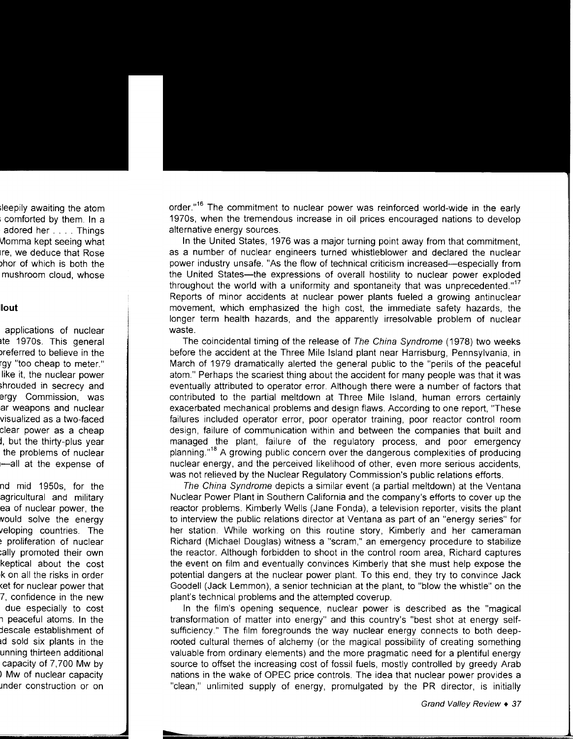order."<sup>16</sup> The commitment to nuclear power was reinforced world-wide in the early 1970s, when the tremendous increase in oil prices encouraged nations to develop alternative energy sources.

In the United States, 1976 was a major turning point away from that commitment, as a number of nuclear engineers turned whistleblower and declared the nuclear power industry unsafe. "As the flow of technical criticism increased-especially from the United States-the expressions of overall hostility to nuclear power exploded throughout the world with a uniformity and spontaneity that was unprecedented."<sup>17</sup> Reports of minor accidents at nuclear power plants fueled a growing antinuclear movement, which emphasized the high cost, the immediate safety hazards, the longer term health hazards, and the apparently irresolvable problem of nuclear waste.

The coincidental timing of the release of The China Syndrome (1978) two weeks before the accident at the Three Mile Island plant near Harrisburg, Pennsylvania, in March of 1979 dramatically alerted the general public to the "perils of the peaceful atom." Perhaps the scariest thing about the accident for many people was that it was eventually attributed to operator error. Although there were a number of factors that contributed to the partial meltdown at Three Mile Island, human errors certainly exacerbated mechanical problems and design flaws. According to one report, 'These failures included operator error, poor operator training, poor reactor control room design, failure of communication within and between the companies that built and managed the plant, failure of the regulatory process, and poor emergency planning." <sup>18</sup>A growing public concern over the dangerous complexities of producing nuclear energy, and the perceived likelihood of other, even more serious accidents, was not relieved by the Nuclear Regulatory Commission's public relations efforts.

The China Syndrome depicts a similar event (a partial meltdown) at the Ventana Nuclear Power Plant in Southern California and the company's efforts to cover up the reactor problems. Kimberly Wells (Jane Fonda), a television reporter, visits the plant to interview the public relations director at Ventana as part of an "energy series" for her station. While working on this routine story, Kimberly and her cameraman Richard (Michael Douglas) witness a "scram," an emergency procedure to stabilize the reactor. Although forbidden to shoot in the control room area, Richard captures the event on film and eventually convinces Kimberly that she must help expose the potential dangers at the nuclear power plant. To this end, they try to convince Jack Goodell (Jack Lemmon), a senior technician at the plant, to "blow the whistle" on the plant's technical problems and the attempted coverup.

In the film's opening sequence, nuclear power is described as the "magical transformation of matter into energy" and this country's "best shot at energy selfsufficiency." The film foregrounds the way nuclear energy connects to both deeprooted cultural themes of alchemy (or the magical possibility of creating something valuable from ordinary elements) and the more pragmatic need for a plentiful energy source to offset the increasing cost of fossil fuels, mostly controlled by greedy Arab nations in the wake of OPEC price controls. The idea that nuclear power provides a "clean," unlimited supply of energy, promulgated by the PR director, is initially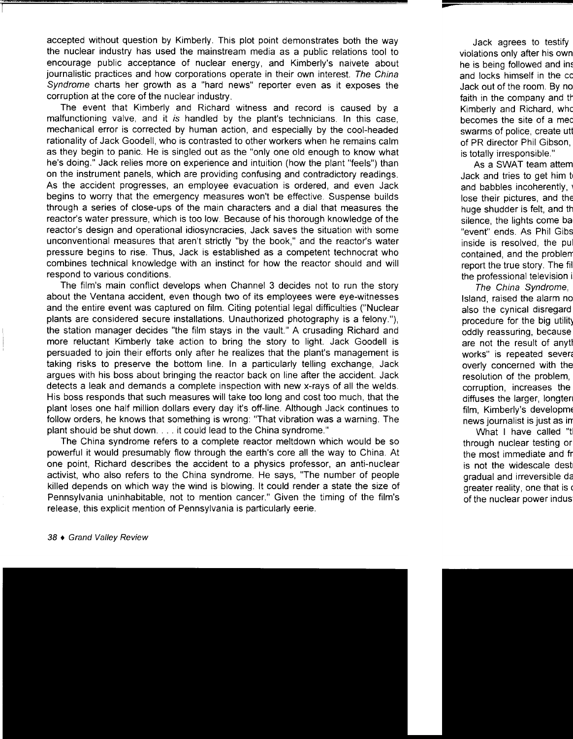accepted without question by Kimberly. This plot point demonstrates both the way the nuclear industry has used the mainstream media as a public relations tool to encourage public acceptance of nuclear energy, and Kimberly's naivete about journalistic practices and how corporations operate in their own interest. The China Syndrome charts her growth as a "hard news" reporter even as it exposes the corruption at the core of the nuclear industry.

The event that Kimberly and Richard witness and record is caused by a malfunctioning valve, and it is handled by the plant's technicians. In this case, mechanical error is corrected by human action, and especially by the cool-headed rationality of Jack Goodell, who is contrasted to other workers when he remains calm as they begin to panic. He is singled out as the "only one old enough to know what he's doing." Jack relies more on experience and intuition (how the plant "feels") than on the instrument panels, which are providing confusing and contradictory readings. As the accident progresses, an employee evacuation is ordered, and even Jack begins to worry that the emergency measures won't be effective. Suspense builds through a series of close-ups of the main characters and a dial that measures the reactor's water pressure, which is too low. Because of his thorough knowledge of the reactor's design and operational idiosyncracies, Jack saves the situation with some unconventional measures that aren't strictly "by the book," and the reactor's water pressure begins to rise. Thus, Jack is established as a competent technocrat who combines technical knowledge with an instinct for how the reactor should and will respond to various conditions.

The film's main conflict develops when Channel 3 decides not to run the story about the Ventana accident, even though two of its employees were eye-witnesses and the entire event was captured on film. Citing potential legal difficulties ("Nuclear plants are considered secure installations. Unauthorized photography is a felony."), the station manager decides "the film stays in the vault." A crusading Richard and more reluctant Kimberly take action to bring the story to light. Jack Goodell is persuaded to join their efforts only after he realizes that the plant's management is taking risks to preserve the bottom line. In a particularly telling exchange, Jack argues with his boss about bringing the reactor back on line after the accident. Jack detects a leak and demands a complete inspection with new x-rays of all the welds. His boss responds that such measures will take too long and cost too much, that the plant loses one half million dollars every day it's off-line. Although Jack continues to follow orders, he knows that something is wrong: "That vibration was a warning. The plant should be shut down .... it could lead to the China syndrome."

The China syndrome refers to a complete reactor meltdown which would be so powerful it would presumably flow through the earth's core all the way to China. At one point, Richard describes the accident to a physics professor, an anti-nuclear activist, who also refers to the China syndrome. He says, "The number of people killed depends on which way the wind is blowing. It could render a state the size of Pennsylvania uninhabitable, not to mention cancer." Given the timing of the film's release, this explicit mention of Pennsylvania is particularly eerie.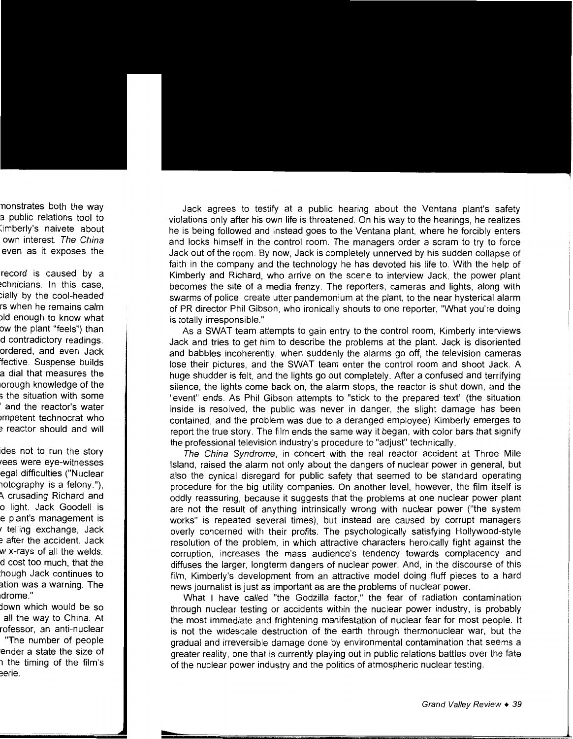Jack agrees to testify at a public hearing about the Ventana plant's safety violations only after his own life is threatened. On his way to the hearings, he realizes he is being followed and instead goes to the Ventana plant, where he forcibly enters and locks himself in the control room. The managers order a scram to try to force Jack out of the room. By now, Jack is completely unnerved by his sudden collapse of faith in the company and the technology he has devoted his life to. With the help of Kimberly and Richard, who arrive on the scene to interview Jack, the power plant becomes the site of a media frenzy. The reporters, cameras and lights, along with swarms of police, create utter pandemonium at the plant, to the near hysterical alarm of PR director Phil Gibson, who ironically shouts to one reporter, "What you're doing is totally irresponsible."

As a SWAT team attempts to gain entry to the control room, Kimberly interviews Jack and tries to get him to describe the problems at the plant. Jack is disoriented and babbles incoherently, when suddenly the alarms go off, the television cameras lose their pictures, and the SWAT team enter the control room and shoot Jack. A huge shudder is felt, and the lights go out completely. After a confused and terrifying silence, the lights come back on, the alarm stops, the reactor is shut down, and the "event" ends. As Phil Gibson attempts to "stick to the prepared text" (the situation inside is resolved, the public was never in danger, the slight damage has been contained, and the problem was due to a deranged employee) Kimberly emerges to report the true story. The film ends the same way it began, with color bars that signify the professional television industry's procedure to "adjust" technically.

The China Syndrome, in concert with the real reactor accident at Three Mile Island, raised the alarm not only about the dangers of nuclear power in general, but also the cynical disregard for public safety that seemed to be standard operating procedure for the big utility companies. On another level, however, the film itself is oddly reassuring, because it suggests that the problems at one nuclear power plant are not the result of anything intrinsically wrong with nuclear power ("the system works" is repeated several times), but instead are caused by corrupt managers overly concerned with their profits. The psychologically satisfying Hollywood-style resolution of the problem, in which attractive characters heroically fight against the corruption, increases the mass audience's tendency towards complacency and diffuses the larger, longterm dangers of nuclear power. And, in the discourse of this film, Kimberly's development from an attractive model doing fluff pieces to a hard news journalist is just as important as are the problems of nuclear power.

What I have called "the Godzilla factor," the fear of radiation contamination through nuclear testing or accidents within the nuclear power industry, is probably the most immediate and frightening manifestation of nuclear fear for most people. It is not the widescale destruction of the earth through thermonuclear war, but the gradual and irreversible damage done by environmental contamination that seems a greater reality, one that is currently playing out in public relations battles over the fate of the nuclear power industry and the politics of atmospheric nuclear testing.